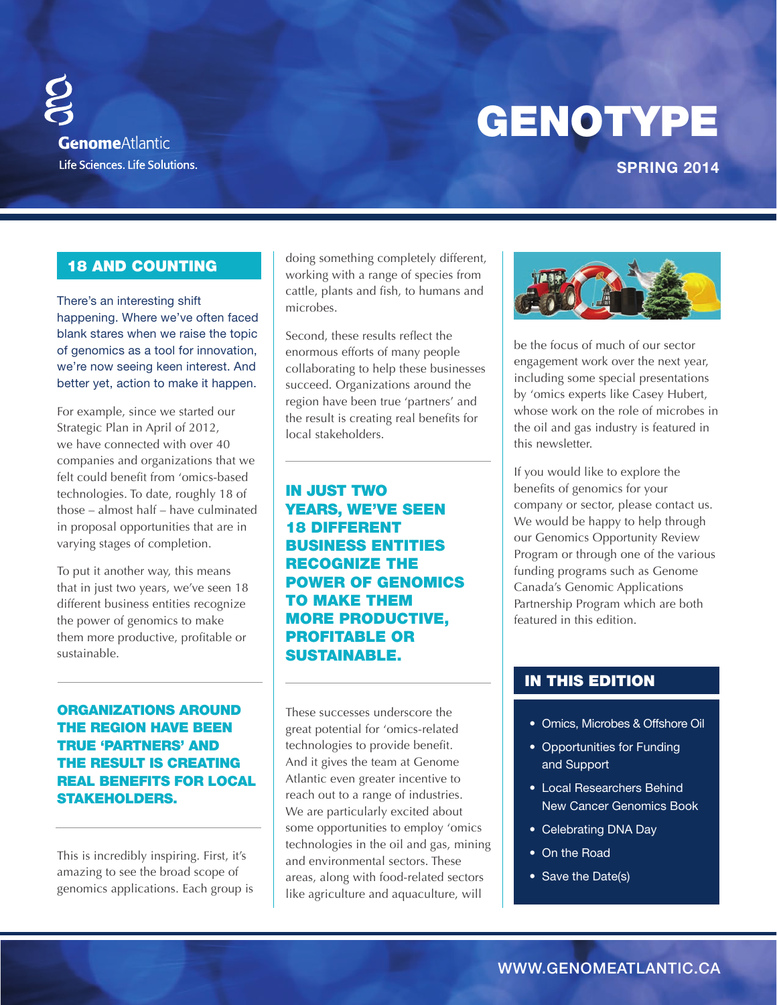# GENOTYPE

**GenomeAtlantic** Life Sciences. Life Solutions.

# **SPRING 2014**

# 18 AND Counting

There's an interesting shift happening. Where we've often faced blank stares when we raise the topic of genomics as a tool for innovation, we're now seeing keen interest. And better yet, action to make it happen.

For example, since we started our Strategic Plan in April of 2012, we have connected with over 40 companies and organizations that we felt could benefit from 'omics-based technologies. To date, roughly 18 of those – almost half – have culminated in proposal opportunities that are in varying stages of completion.

To put it another way, this means that in just two years, we've seen 18 different business entities recognize the power of genomics to make them more productive, profitable or sustainable.

# Organizations around the region have been true 'partners' and the result is creating real benefits for local stakeholders.

This is incredibly inspiring. First, it's amazing to see the broad scope of genomics applications. Each group is doing something completely different, working with a range of species from cattle, plants and fish, to humans and microbes.

Second, these results reflect the enormous efforts of many people collaborating to help these businesses succeed. Organizations around the region have been true 'partners' and the result is creating real benefits for local stakeholders.

in just two years, we've seen 18 different business entities recognize the power of genomics to make them more productive, profitable or sustainable.

These successes underscore the great potential for 'omics-related technologies to provide benefit. And it gives the team at Genome Atlantic even greater incentive to reach out to a range of industries. We are particularly excited about some opportunities to employ 'omics technologies in the oil and gas, mining and environmental sectors. These areas, along with food-related sectors like agriculture and aquaculture, will



be the focus of much of our sector engagement work over the next year, including some special presentations by 'omics experts like Casey Hubert, whose work on the role of microbes in the oil and gas industry is featured in this newsletter.

If you would like to explore the benefits of genomics for your company or sector, please contact us. We would be happy to help through our Genomics Opportunity Review Program or through one of the various funding programs such as Genome Canada's Genomic Applications Partnership Program which are both featured in this edition.

# in this edition

- Omics, Microbes & Offshore Oil
- Opportunities for Funding and Support
- • Local Researchers Behind New Cancer Genomics Book
- Celebrating DNA Day
- On the Road
- Save the Date(s)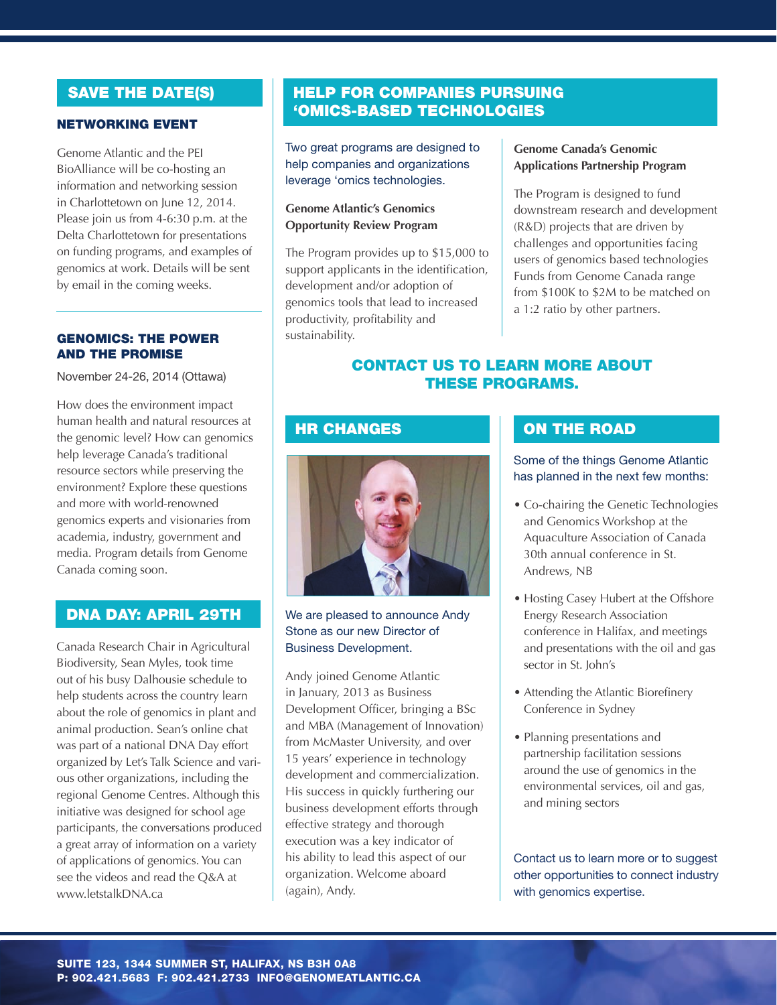### NETWORKING EVEnT

Genome Atlantic and the PEI BioAlliance will be co-hosting an information and networking session in Charlottetown on June 12, 2014. Please join us from 4-6:30 p.m. at the Delta Charlottetown for presentations on funding programs, and examples of genomics at work. Details will be sent by email in the coming weeks.

#### Genomics: the Power and the Promise

November 24-26, 2014 (Ottawa)

How does the environment impact human health and natural resources at the genomic level? How can genomics help leverage Canada's traditional resource sectors while preserving the environment? Explore these questions and more with world-renowned genomics experts and visionaries from academia, industry, government and media. Program details from Genome Canada coming soon.

# DNA DAY: APRIL 29th

Canada Research Chair in Agricultural Biodiversity, Sean Myles, took time out of his busy Dalhousie schedule to help students across the country learn about the role of genomics in plant and animal production. Sean's online chat was part of a national DNA Day effort organized by Let's Talk Science and various other organizations, including the regional Genome Centres. Although this initiative was designed for school age participants, the conversations produced a great array of information on a variety of applications of genomics. You can see the videos and read the Q&A at www.letstalkDNA.ca

# SAVE THE DATE(S) **HELP FOR COMPANIES PURSUING** 'omics-based technologies

Two great programs are designed to help companies and organizations leverage 'omics technologies.

#### **Genome Atlantic's Genomics Opportunity Review Program**

The Program provides up to \$15,000 to support applicants in the identification, development and/or adoption of genomics tools that lead to increased productivity, profitability and sustainability.

#### **Genome Canada's Genomic Applications Partnership Program**

The Program is designed to fund downstream research and development (R&D) projects that are driven by challenges and opportunities facing users of genomics based technologies Funds from Genome Canada range from \$100K to \$2M to be matched on a 1:2 ratio by other partners.

# Contact us to learn more about these programs.

# **HR CHANGES**



We are pleased to announce Andy Stone as our new Director of Business Development.

Andy joined Genome Atlantic in January, 2013 as Business Development Officer, bringing a BSc and MBA (Management of Innovation) from McMaster University, and over 15 years' experience in technology development and commercialization. His success in quickly furthering our business development efforts through effective strategy and thorough execution was a key indicator of his ability to lead this aspect of our organization. Welcome aboard (again), Andy.

# ON THE ROAD

#### Some of the things Genome Atlantic has planned in the next few months:

- Co-chairing the Genetic Technologies and Genomics Workshop at the Aquaculture Association of Canada 30th annual conference in St. Andrews, NB
- Hosting Casey Hubert at the Offshore Energy Research Association conference in Halifax, and meetings and presentations with the oil and gas sector in St. John's
- Attending the Atlantic Biorefinery Conference in Sydney
- Planning presentations and partnership facilitation sessions around the use of genomics in the environmental services, oil and gas, and mining sectors

Contact us to learn more or to suggest other opportunities to connect industry with genomics expertise.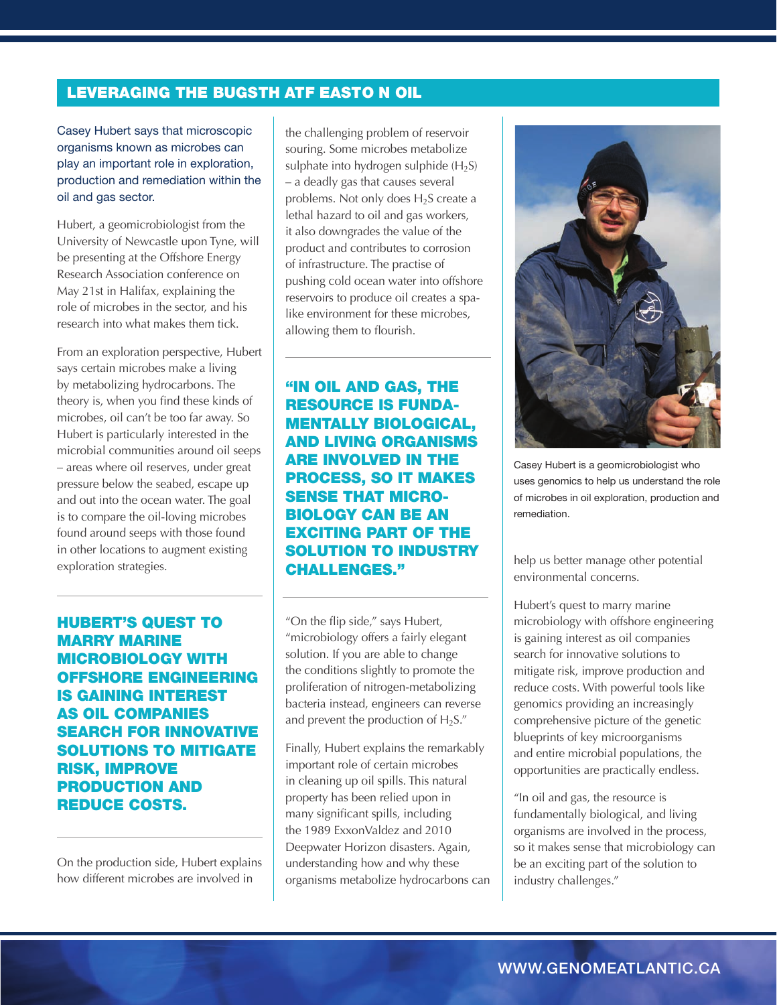# **LEVERAGING THE BUGSTH ATF EASTO N OIL**

Casey Hubert says that microscopic organisms known as microbes can play an important role in exploration, production and remediation within the oil and gas sector.

Hubert, a geomicrobiologist from the University of Newcastle upon Tyne, will be presenting at the Offshore Energy Research Association conference on May 21st in Halifax, explaining the role of microbes in the sector, and his research into what makes them tick.

From an exploration perspective, Hubert says certain microbes make a living by metabolizing hydrocarbons. The theory is, when you find these kinds of microbes, oil can't be too far away. So Hubert is particularly interested in the microbial communities around oil seeps – areas where oil reserves, under great pressure below the seabed, escape up and out into the ocean water. The goal is to compare the oil-loving microbes found around seeps with those found in other locations to augment existing exploration strategies.

huBert's quest to marry marine microBiology with offshore engineering is gaining interest as oil companies search for innovative solutions to mitigate risk, improve production and reduce costs.

On the production side, Hubert explains how different microbes are involved in

the challenging problem of reservoir souring. Some microbes metabolize sulphate into hydrogen sulphide  $(H_2S)$ – a deadly gas that causes several problems. Not only does  $H_2S$  create a lethal hazard to oil and gas workers, it also downgrades the value of the product and contributes to corrosion of infrastructure. The practise of pushing cold ocean water into offshore reservoirs to produce oil creates a spalike environment for these microbes, allowing them to flourish.

"in oil and gas, the resource is fundamentally Biological, and living organisms are involved in the process, so it makes sense that micro-Biology can Be an exciting part of the solution to industry challenges."

"On the flip side," says Hubert, "microbiology offers a fairly elegant solution. If you are able to change the conditions slightly to promote the proliferation of nitrogen-metabolizing bacteria instead, engineers can reverse and prevent the production of  $H_2S$ ."

Finally, Hubert explains the remarkably important role of certain microbes in cleaning up oil spills. This natural property has been relied upon in many significant spills, including the 1989 ExxonValdez and 2010 Deepwater Horizon disasters. Again, understanding how and why these organisms metabolize hydrocarbons can



Casey Hubert is a geomicrobiologist who uses genomics to help us understand the role of microbes in oil exploration, production and remediation.

help us better manage other potential environmental concerns.

Hubert's quest to marry marine microbiology with offshore engineering is gaining interest as oil companies search for innovative solutions to mitigate risk, improve production and reduce costs. With powerful tools like genomics providing an increasingly comprehensive picture of the genetic blueprints of key microorganisms and entire microbial populations, the opportunities are practically endless.

"In oil and gas, the resource is fundamentally biological, and living organisms are involved in the process, so it makes sense that microbiology can be an exciting part of the solution to industry challenges."